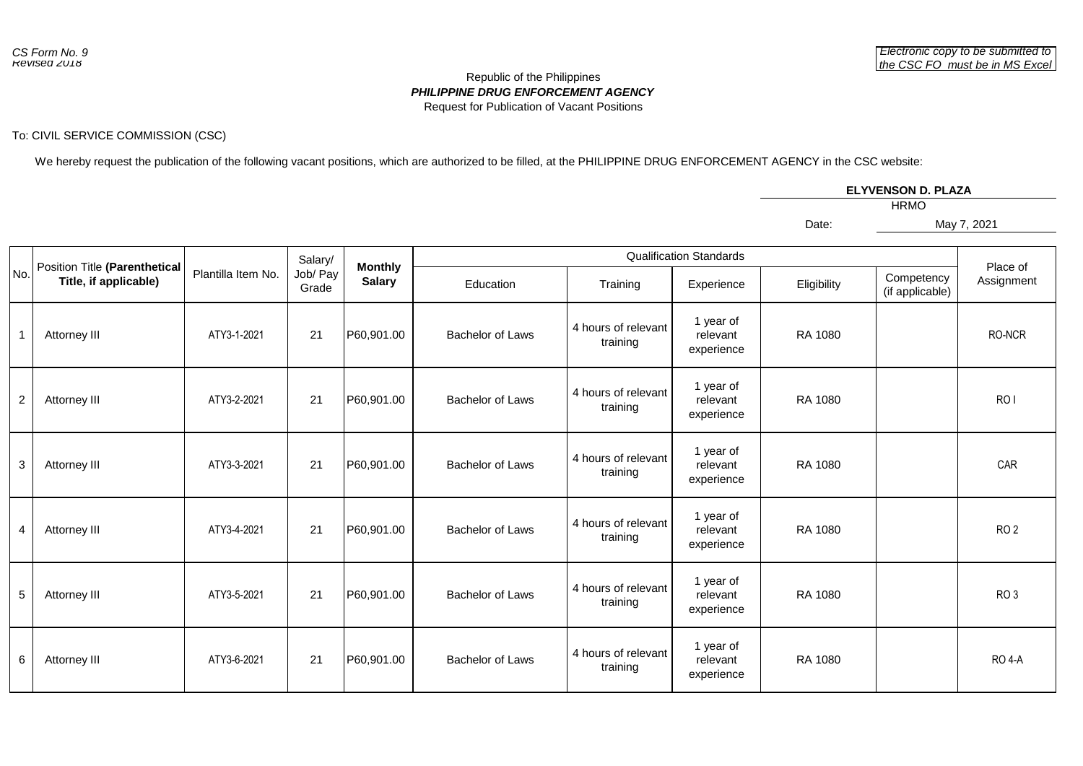## *PHILIPPINE DRUG ENFORCEMENT AGENCY* Republic of the Philippines Request for Publication of Vacant Positions

## To: CIVIL SERVICE COMMISSION (CSC)

We hereby request the publication of the following vacant positions, which are authorized to be filled, at the PHILIPPINE DRUG ENFORCEMENT AGENCY in the CSC website:

| <b>ELYVENSON D. PLAZA</b> |  |
|---------------------------|--|
| <b>HRMO</b>               |  |

Date:

May 7, 2021

|                |                                                        |                    | Salary/           | <b>Monthly</b> |                         | Place of                        |                                     |             |                               |                 |
|----------------|--------------------------------------------------------|--------------------|-------------------|----------------|-------------------------|---------------------------------|-------------------------------------|-------------|-------------------------------|-----------------|
| No.            | Position Title (Parenthetical<br>Title, if applicable) | Plantilla Item No. | Job/ Pay<br>Grade | <b>Salary</b>  | Education               | Training                        | Experience                          | Eligibility | Competency<br>(if applicable) | Assignment      |
| $\mathbf{1}$   | Attorney III                                           | ATY3-1-2021        | 21                | P60,901.00     | <b>Bachelor of Laws</b> | 4 hours of relevant<br>training | 1 year of<br>relevant<br>experience | RA 1080     |                               | RO-NCR          |
| $\overline{c}$ | Attorney III                                           | ATY3-2-2021        | 21                | P60,901.00     | Bachelor of Laws        | 4 hours of relevant<br>training | 1 year of<br>relevant<br>experience | RA 1080     |                               | RO <sub>I</sub> |
| 3              | Attorney III                                           | ATY3-3-2021        | 21                | P60,901.00     | <b>Bachelor of Laws</b> | 4 hours of relevant<br>training | 1 year of<br>relevant<br>experience | RA 1080     |                               | CAR             |
| $\overline{4}$ | Attorney III                                           | ATY3-4-2021        | 21                | P60,901.00     | Bachelor of Laws        | 4 hours of relevant<br>training | 1 year of<br>relevant<br>experience | RA 1080     |                               | RO <sub>2</sub> |
| $\overline{5}$ | Attorney III                                           | ATY3-5-2021        | 21                | P60,901.00     | <b>Bachelor of Laws</b> | 4 hours of relevant<br>training | 1 year of<br>relevant<br>experience | RA 1080     |                               | RO <sub>3</sub> |
| 6              | Attorney III                                           | ATY3-6-2021        | 21                | P60,901.00     | <b>Bachelor of Laws</b> | 4 hours of relevant<br>training | 1 year of<br>relevant<br>experience | RA 1080     |                               | <b>RO 4-A</b>   |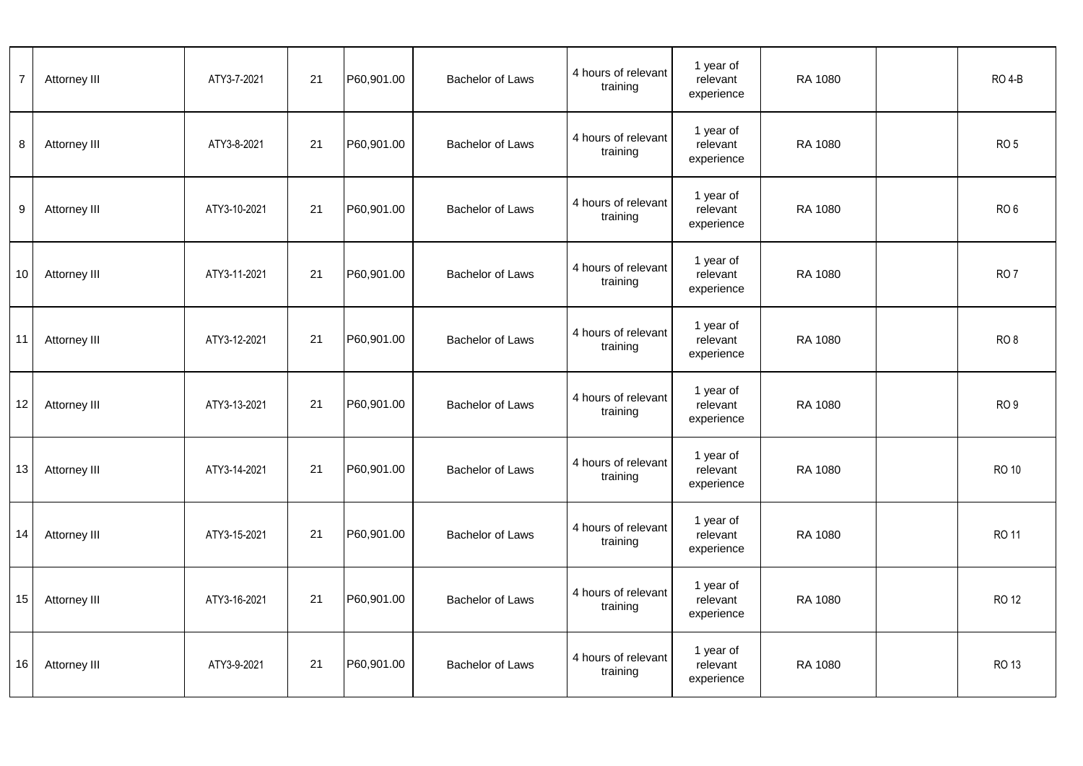| $\overline{7}$    | Attorney III | ATY3-7-2021  | 21 | P60,901.00 | <b>Bachelor of Laws</b> | 4 hours of relevant<br>training | 1 year of<br>relevant<br>experience | RA 1080 | <b>RO 4-B</b>   |
|-------------------|--------------|--------------|----|------------|-------------------------|---------------------------------|-------------------------------------|---------|-----------------|
| 8                 | Attorney III | ATY3-8-2021  | 21 | P60,901.00 | <b>Bachelor of Laws</b> | 4 hours of relevant<br>training | 1 year of<br>relevant<br>experience | RA 1080 | RO <sub>5</sub> |
| 9                 | Attorney III | ATY3-10-2021 | 21 | P60,901.00 | <b>Bachelor of Laws</b> | 4 hours of relevant<br>training | 1 year of<br>relevant<br>experience | RA 1080 | RO <sub>6</sub> |
| 10                | Attorney III | ATY3-11-2021 | 21 | P60,901.00 | <b>Bachelor of Laws</b> | 4 hours of relevant<br>training | 1 year of<br>relevant<br>experience | RA 1080 | RO <sub>7</sub> |
| 11                | Attorney III | ATY3-12-2021 | 21 | P60,901.00 | <b>Bachelor of Laws</b> | 4 hours of relevant<br>training | 1 year of<br>relevant<br>experience | RA 1080 | RO <sub>8</sub> |
| $12 \overline{ }$ | Attorney III | ATY3-13-2021 | 21 | P60,901.00 | <b>Bachelor of Laws</b> | 4 hours of relevant<br>training | 1 year of<br>relevant<br>experience | RA 1080 | RO <sub>9</sub> |
| 13                | Attorney III | ATY3-14-2021 | 21 | P60,901.00 | <b>Bachelor of Laws</b> | 4 hours of relevant<br>training | 1 year of<br>relevant<br>experience | RA 1080 | <b>RO 10</b>    |
| 14                | Attorney III | ATY3-15-2021 | 21 | P60,901.00 | Bachelor of Laws        | 4 hours of relevant<br>training | 1 year of<br>relevant<br>experience | RA 1080 | <b>RO 11</b>    |
| 15                | Attorney III | ATY3-16-2021 | 21 | P60,901.00 | <b>Bachelor of Laws</b> | 4 hours of relevant<br>training | 1 year of<br>relevant<br>experience | RA 1080 | <b>RO 12</b>    |
| 16                | Attorney III | ATY3-9-2021  | 21 | P60,901.00 | <b>Bachelor of Laws</b> | 4 hours of relevant<br>training | 1 year of<br>relevant<br>experience | RA 1080 | RO 13           |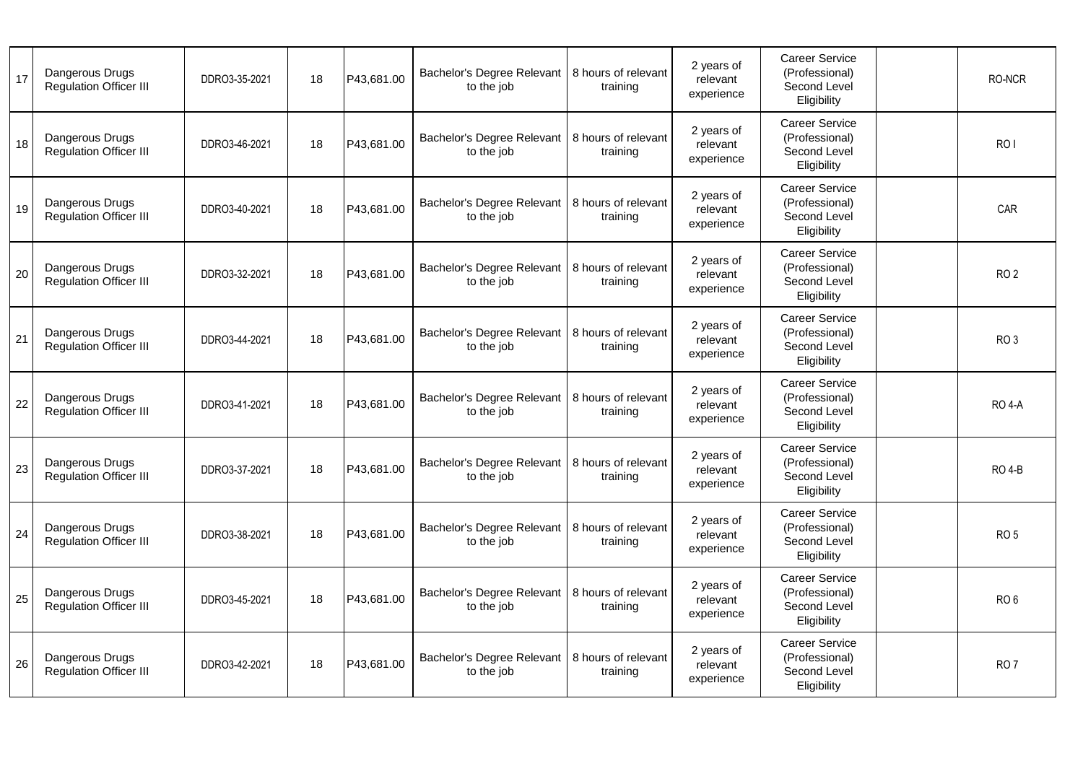| 17 | Dangerous Drugs<br><b>Regulation Officer III</b> | DDRO3-35-2021 | 18 | P43,681.00 | Bachelor's Degree Relevant   8 hours of relevant<br>to the job | training                        | 2 years of<br>relevant<br>experience | <b>Career Service</b><br>(Professional)<br>Second Level<br>Eligibility | RO-NCR          |
|----|--------------------------------------------------|---------------|----|------------|----------------------------------------------------------------|---------------------------------|--------------------------------------|------------------------------------------------------------------------|-----------------|
| 18 | Dangerous Drugs<br><b>Regulation Officer III</b> | DDRO3-46-2021 | 18 | P43,681.00 | Bachelor's Degree Relevant<br>to the job                       | 8 hours of relevant<br>training | 2 years of<br>relevant<br>experience | <b>Career Service</b><br>(Professional)<br>Second Level<br>Eligibility | RO <sub>I</sub> |
| 19 | Dangerous Drugs<br><b>Regulation Officer III</b> | DDRO3-40-2021 | 18 | P43,681.00 | Bachelor's Degree Relevant   8 hours of relevant<br>to the job | training                        | 2 years of<br>relevant<br>experience | <b>Career Service</b><br>(Professional)<br>Second Level<br>Eligibility | CAR             |
| 20 | Dangerous Drugs<br><b>Regulation Officer III</b> | DDRO3-32-2021 | 18 | P43.681.00 | Bachelor's Degree Relevant<br>to the job                       | 8 hours of relevant<br>training | 2 years of<br>relevant<br>experience | <b>Career Service</b><br>(Professional)<br>Second Level<br>Eligibility | RO <sub>2</sub> |
| 21 | Dangerous Drugs<br><b>Regulation Officer III</b> | DDRO3-44-2021 | 18 | P43,681.00 | Bachelor's Degree Relevant   8 hours of relevant<br>to the job | training                        | 2 years of<br>relevant<br>experience | <b>Career Service</b><br>(Professional)<br>Second Level<br>Eligibility | RO <sub>3</sub> |
| 22 | Dangerous Drugs<br><b>Regulation Officer III</b> | DDRO3-41-2021 | 18 | P43,681.00 | Bachelor's Degree Relevant<br>to the job                       | 8 hours of relevant<br>training | 2 years of<br>relevant<br>experience | Career Service<br>(Professional)<br>Second Level<br>Eligibility        | <b>RO 4-A</b>   |
| 23 | Dangerous Drugs<br><b>Regulation Officer III</b> | DDRO3-37-2021 | 18 | P43,681.00 | Bachelor's Degree Relevant<br>to the job                       | 8 hours of relevant<br>training | 2 years of<br>relevant<br>experience | <b>Career Service</b><br>(Professional)<br>Second Level<br>Eligibility | <b>RO 4-B</b>   |
| 24 | Dangerous Drugs<br><b>Regulation Officer III</b> | DDRO3-38-2021 | 18 | P43,681.00 | Bachelor's Degree Relevant<br>to the job                       | 8 hours of relevant<br>training | 2 years of<br>relevant<br>experience | <b>Career Service</b><br>(Professional)<br>Second Level<br>Eligibility | RO <sub>5</sub> |
| 25 | Dangerous Drugs<br><b>Regulation Officer III</b> | DDRO3-45-2021 | 18 | P43,681.00 | Bachelor's Degree Relevant<br>to the job                       | 8 hours of relevant<br>training | 2 years of<br>relevant<br>experience | <b>Career Service</b><br>(Professional)<br>Second Level<br>Eligibility | RO <sub>6</sub> |
| 26 | Dangerous Drugs<br><b>Regulation Officer III</b> | DDRO3-42-2021 | 18 | P43,681.00 | Bachelor's Degree Relevant<br>to the job                       | 8 hours of relevant<br>training | 2 years of<br>relevant<br>experience | <b>Career Service</b><br>(Professional)<br>Second Level<br>Eligibility | RO <sub>7</sub> |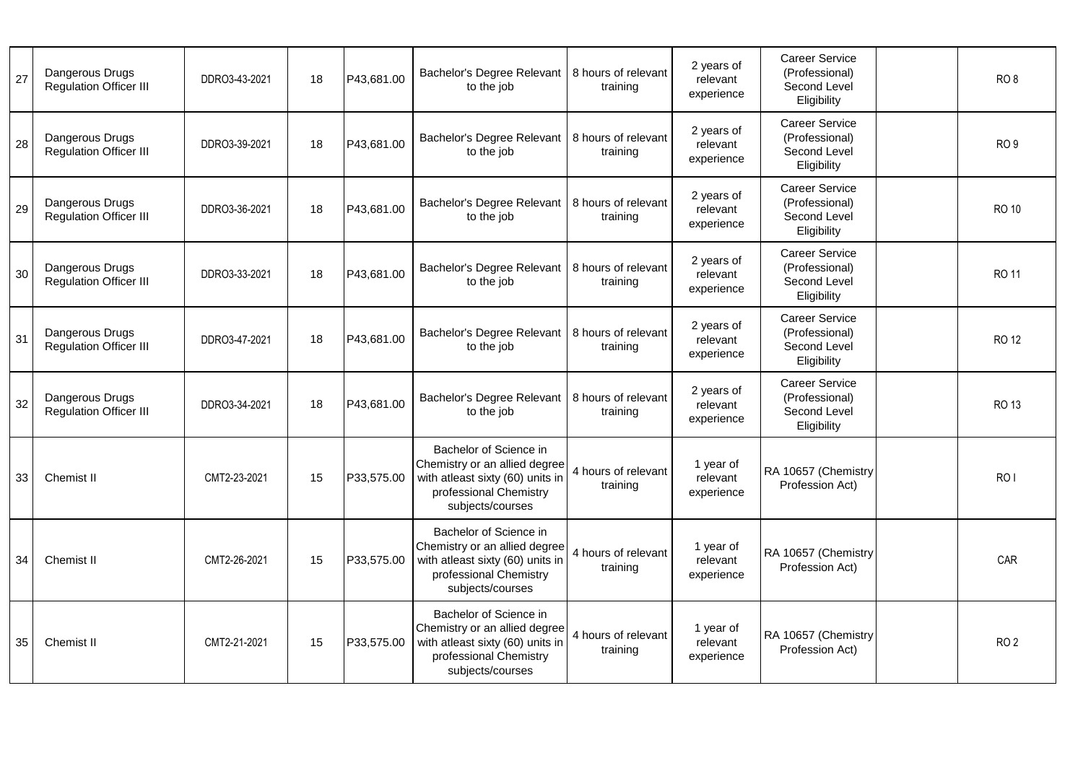| 27 | Dangerous Drugs<br><b>Regulation Officer III</b> | DDRO3-43-2021 | 18 | P43,681.00 | Bachelor's Degree Relevant<br>to the job                                                                                                  | 8 hours of relevant<br>training | 2 years of<br>relevant<br>experience | <b>Career Service</b><br>(Professional)<br>Second Level<br>Eligibility | RO <sub>8</sub>             |
|----|--------------------------------------------------|---------------|----|------------|-------------------------------------------------------------------------------------------------------------------------------------------|---------------------------------|--------------------------------------|------------------------------------------------------------------------|-----------------------------|
| 28 | Dangerous Drugs<br><b>Regulation Officer III</b> | DDRO3-39-2021 | 18 | P43,681.00 | Bachelor's Degree Relevant<br>to the job                                                                                                  | 8 hours of relevant<br>training | 2 years of<br>relevant<br>experience | <b>Career Service</b><br>(Professional)<br>Second Level<br>Eligibility | RO <sub>9</sub>             |
| 29 | Dangerous Drugs<br><b>Regulation Officer III</b> | DDRO3-36-2021 | 18 | P43,681.00 | Bachelor's Degree Relevant<br>to the job                                                                                                  | 8 hours of relevant<br>training | 2 years of<br>relevant<br>experience | <b>Career Service</b><br>(Professional)<br>Second Level<br>Eligibility | <b>RO 10</b>                |
| 30 | Dangerous Drugs<br><b>Regulation Officer III</b> | DDRO3-33-2021 | 18 | P43,681.00 | Bachelor's Degree Relevant<br>to the job                                                                                                  | 8 hours of relevant<br>training | 2 years of<br>relevant<br>experience | <b>Career Service</b><br>(Professional)<br>Second Level<br>Eligibility | <b>RO 11</b>                |
| 31 | Dangerous Drugs<br><b>Regulation Officer III</b> | DDRO3-47-2021 | 18 | P43,681.00 | Bachelor's Degree Relevant<br>to the job                                                                                                  | 8 hours of relevant<br>training | 2 years of<br>relevant<br>experience | <b>Career Service</b><br>(Professional)<br>Second Level<br>Eligibility | <b>RO 12</b>                |
| 32 | Dangerous Drugs<br><b>Regulation Officer III</b> | DDRO3-34-2021 | 18 | P43,681.00 | Bachelor's Degree Relevant<br>to the job                                                                                                  | 8 hours of relevant<br>training | 2 years of<br>relevant<br>experience | <b>Career Service</b><br>(Professional)<br>Second Level<br>Eligibility | RO 13                       |
| 33 | Chemist II                                       | CMT2-23-2021  | 15 | P33,575.00 | Bachelor of Science in<br>Chemistry or an allied degree<br>with atleast sixty (60) units in<br>professional Chemistry<br>subjects/courses | 4 hours of relevant<br>training | 1 year of<br>relevant<br>experience  | RA 10657 (Chemistry<br>Profession Act)                                 | R <sub>O</sub> <sub>I</sub> |
| 34 | <b>Chemist II</b>                                | CMT2-26-2021  | 15 | P33,575.00 | Bachelor of Science in<br>Chemistry or an allied degree<br>with atleast sixty (60) units in<br>professional Chemistry<br>subjects/courses | 4 hours of relevant<br>training | 1 year of<br>relevant<br>experience  | RA 10657 (Chemistry<br>Profession Act)                                 | CAR                         |
| 35 | Chemist II                                       | CMT2-21-2021  | 15 | P33,575.00 | Bachelor of Science in<br>Chemistry or an allied degree<br>with atleast sixty (60) units in<br>professional Chemistry<br>subjects/courses | 4 hours of relevant<br>training | 1 year of<br>relevant<br>experience  | RA 10657 (Chemistry<br>Profession Act)                                 | RO <sub>2</sub>             |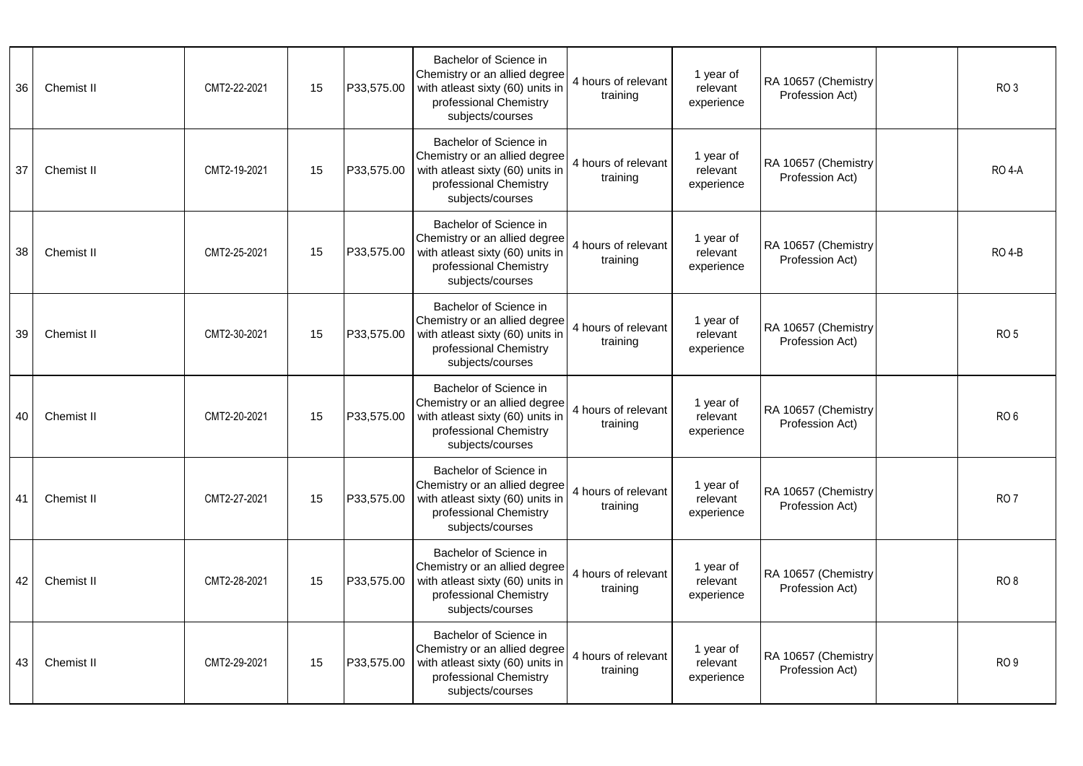| 36 | Chemist II | CMT2-22-2021 | 15 | P33.575.00 | Bachelor of Science in<br>Chemistry or an allied degree<br>with atleast sixty (60) units in<br>professional Chemistry<br>subjects/courses | 4 hours of relevant<br>training | 1 year of<br>relevant<br>experience | RA 10657 (Chemistry<br>Profession Act) | RO <sub>3</sub> |
|----|------------|--------------|----|------------|-------------------------------------------------------------------------------------------------------------------------------------------|---------------------------------|-------------------------------------|----------------------------------------|-----------------|
| 37 | Chemist II | CMT2-19-2021 | 15 | P33,575.00 | Bachelor of Science in<br>Chemistry or an allied degree<br>with atleast sixty (60) units in<br>professional Chemistry<br>subjects/courses | 4 hours of relevant<br>training | 1 year of<br>relevant<br>experience | RA 10657 (Chemistry<br>Profession Act) | <b>RO 4-A</b>   |
| 38 | Chemist II | CMT2-25-2021 | 15 | P33,575.00 | Bachelor of Science in<br>Chemistry or an allied degree<br>with atleast sixty (60) units in<br>professional Chemistry<br>subjects/courses | 4 hours of relevant<br>training | 1 year of<br>relevant<br>experience | RA 10657 (Chemistry<br>Profession Act) | <b>RO 4-B</b>   |
| 39 | Chemist II | CMT2-30-2021 | 15 | P33,575.00 | Bachelor of Science in<br>Chemistry or an allied degree<br>with atleast sixty (60) units in<br>professional Chemistry<br>subjects/courses | 4 hours of relevant<br>training | 1 year of<br>relevant<br>experience | RA 10657 (Chemistry<br>Profession Act) | RO <sub>5</sub> |
| 40 | Chemist II | CMT2-20-2021 | 15 | P33,575.00 | Bachelor of Science in<br>Chemistry or an allied degree<br>with atleast sixty (60) units in<br>professional Chemistry<br>subjects/courses | 4 hours of relevant<br>training | 1 year of<br>relevant<br>experience | RA 10657 (Chemistry<br>Profession Act) | RO <sub>6</sub> |
| 41 | Chemist II | CMT2-27-2021 | 15 | P33,575.00 | Bachelor of Science in<br>Chemistry or an allied degree<br>with atleast sixty (60) units in<br>professional Chemistry<br>subjects/courses | 4 hours of relevant<br>training | 1 year of<br>relevant<br>experience | RA 10657 (Chemistry<br>Profession Act) | RO <sub>7</sub> |
| 42 | Chemist II | CMT2-28-2021 | 15 | P33,575.00 | Bachelor of Science in<br>Chemistry or an allied degree<br>with atleast sixty (60) units in<br>professional Chemistry<br>subjects/courses | 4 hours of relevant<br>training | 1 year of<br>relevant<br>experience | RA 10657 (Chemistry<br>Profession Act) | RO <sub>8</sub> |
| 43 | Chemist II | CMT2-29-2021 | 15 | P33,575.00 | Bachelor of Science in<br>Chemistry or an allied degree<br>with atleast sixty (60) units in<br>professional Chemistry<br>subjects/courses | 4 hours of relevant<br>training | 1 year of<br>relevant<br>experience | RA 10657 (Chemistry<br>Profession Act) | RO <sub>9</sub> |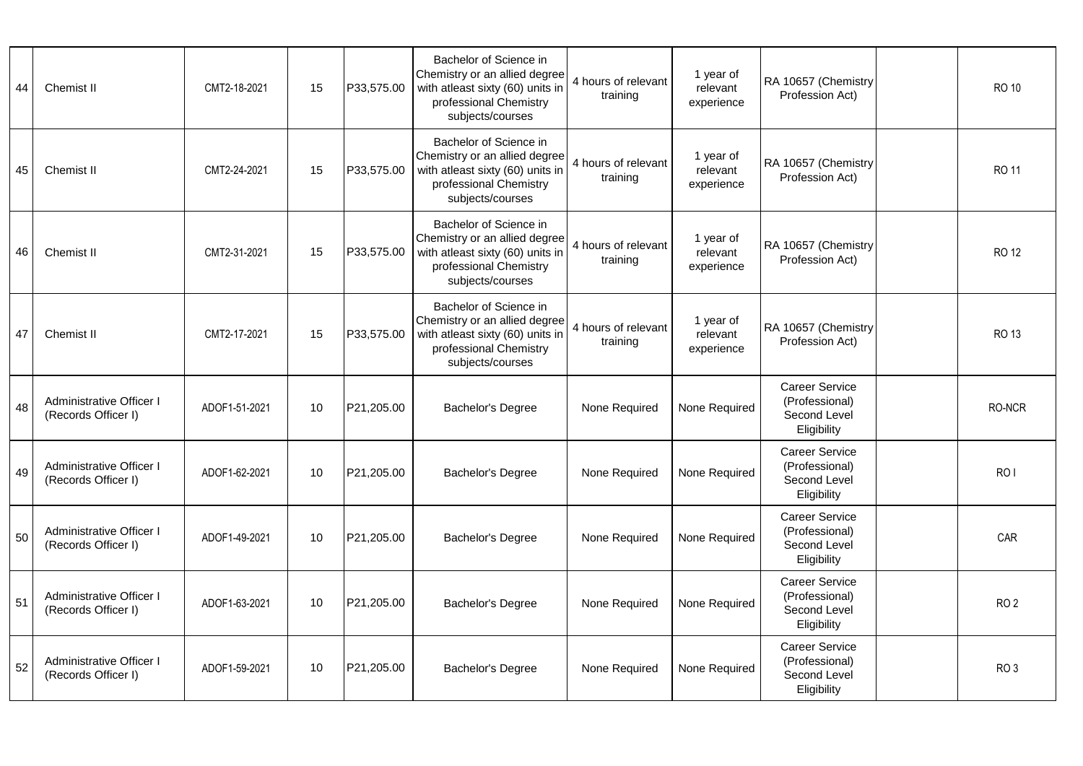| 44 | Chemist II                                             | CMT2-18-2021  | 15 | P33,575.00 | Bachelor of Science in<br>Chemistry or an allied degree<br>with atleast sixty (60) units in<br>professional Chemistry<br>subjects/courses | 4 hours of relevant<br>training | 1 year of<br>relevant<br>experience | RA 10657 (Chemistry<br>Profession Act)                                 | <b>RO 10</b>    |
|----|--------------------------------------------------------|---------------|----|------------|-------------------------------------------------------------------------------------------------------------------------------------------|---------------------------------|-------------------------------------|------------------------------------------------------------------------|-----------------|
| 45 | Chemist II                                             | CMT2-24-2021  | 15 | P33,575.00 | Bachelor of Science in<br>Chemistry or an allied degree<br>with atleast sixty (60) units in<br>professional Chemistry<br>subjects/courses | 4 hours of relevant<br>training | 1 year of<br>relevant<br>experience | RA 10657 (Chemistry<br>Profession Act)                                 | RO 11           |
| 46 | Chemist II                                             | CMT2-31-2021  | 15 | P33,575.00 | Bachelor of Science in<br>Chemistry or an allied degree<br>with atleast sixty (60) units in<br>professional Chemistry<br>subjects/courses | 4 hours of relevant<br>training | 1 year of<br>relevant<br>experience | RA 10657 (Chemistry<br>Profession Act)                                 | <b>RO 12</b>    |
| 47 | Chemist II                                             | CMT2-17-2021  | 15 | P33,575.00 | Bachelor of Science in<br>Chemistry or an allied degree<br>with atleast sixty (60) units in<br>professional Chemistry<br>subjects/courses | 4 hours of relevant<br>training | 1 year of<br>relevant<br>experience | RA 10657 (Chemistry<br>Profession Act)                                 | <b>RO 13</b>    |
| 48 | <b>Administrative Officer I</b><br>(Records Officer I) | ADOF1-51-2021 | 10 | P21,205.00 | Bachelor's Degree                                                                                                                         | None Required                   | None Required                       | <b>Career Service</b><br>(Professional)<br>Second Level<br>Eligibility | RO-NCR          |
| 49 | Administrative Officer I<br>(Records Officer I)        | ADOF1-62-2021 | 10 | P21,205.00 | Bachelor's Degree                                                                                                                         | None Required                   | None Required                       | <b>Career Service</b><br>(Professional)<br>Second Level<br>Eligibility | RO <sub>I</sub> |
| 50 | <b>Administrative Officer I</b><br>(Records Officer I) | ADOF1-49-2021 | 10 | P21,205.00 | Bachelor's Degree                                                                                                                         | None Required                   | None Required                       | <b>Career Service</b><br>(Professional)<br>Second Level<br>Eligibility | CAR             |
| 51 | Administrative Officer I<br>(Records Officer I)        | ADOF1-63-2021 | 10 | P21,205.00 | Bachelor's Degree                                                                                                                         | None Required                   | None Required                       | <b>Career Service</b><br>(Professional)<br>Second Level<br>Eligibility | RO <sub>2</sub> |
| 52 | Administrative Officer I<br>(Records Officer I)        | ADOF1-59-2021 | 10 | P21,205.00 | Bachelor's Degree                                                                                                                         | None Required                   | None Required                       | <b>Career Service</b><br>(Professional)<br>Second Level<br>Eligibility | RO <sub>3</sub> |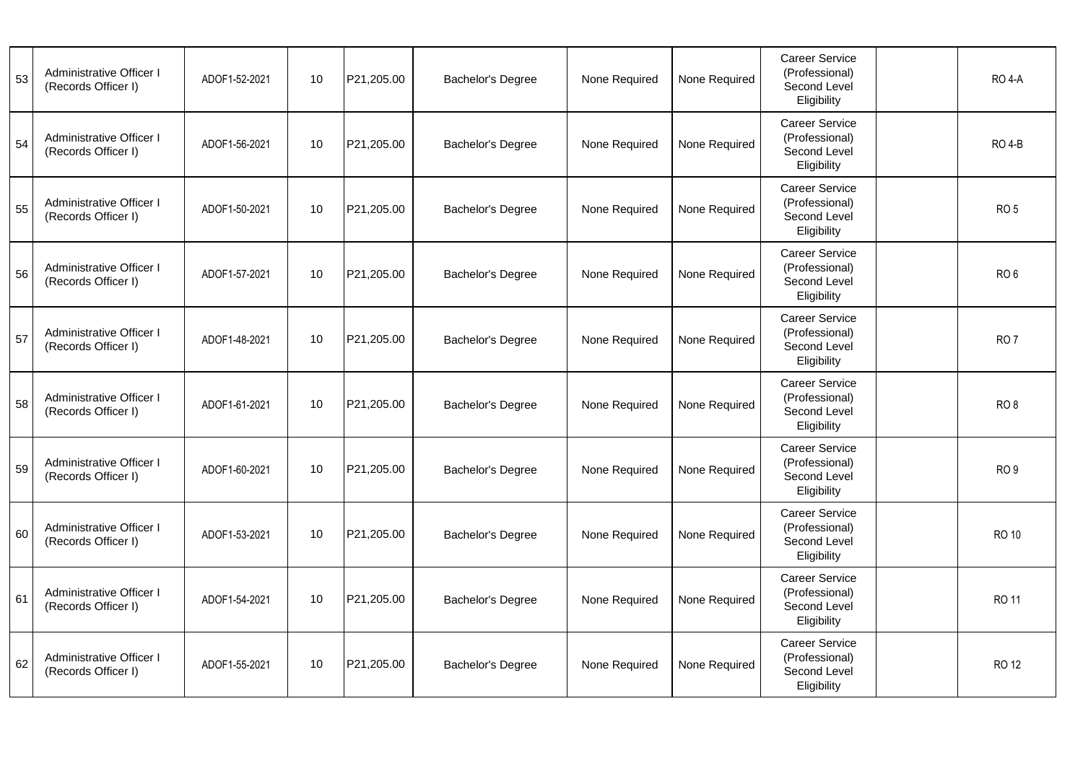| 53 | Administrative Officer I<br>(Records Officer I) | ADOF1-52-2021 | 10 | P21,205.00 | Bachelor's Degree | None Required | None Required | <b>Career Service</b><br>(Professional)<br>Second Level<br>Eligibility | <b>RO 4-A</b>   |
|----|-------------------------------------------------|---------------|----|------------|-------------------|---------------|---------------|------------------------------------------------------------------------|-----------------|
| 54 | Administrative Officer I<br>(Records Officer I) | ADOF1-56-2021 | 10 | P21,205.00 | Bachelor's Degree | None Required | None Required | <b>Career Service</b><br>(Professional)<br>Second Level<br>Eligibility | <b>RO 4-B</b>   |
| 55 | Administrative Officer I<br>(Records Officer I) | ADOF1-50-2021 | 10 | P21,205.00 | Bachelor's Degree | None Required | None Required | Career Service<br>(Professional)<br>Second Level<br>Eligibility        | RO <sub>5</sub> |
| 56 | Administrative Officer I<br>(Records Officer I) | ADOF1-57-2021 | 10 | P21,205.00 | Bachelor's Degree | None Required | None Required | Career Service<br>(Professional)<br>Second Level<br>Eligibility        | RO <sub>6</sub> |
| 57 | Administrative Officer I<br>(Records Officer I) | ADOF1-48-2021 | 10 | P21,205.00 | Bachelor's Degree | None Required | None Required | Career Service<br>(Professional)<br>Second Level<br>Eligibility        | RO <sub>7</sub> |
| 58 | Administrative Officer I<br>(Records Officer I) | ADOF1-61-2021 | 10 | P21,205.00 | Bachelor's Degree | None Required | None Required | Career Service<br>(Professional)<br>Second Level<br>Eligibility        | RO <sub>8</sub> |
| 59 | Administrative Officer I<br>(Records Officer I) | ADOF1-60-2021 | 10 | P21,205.00 | Bachelor's Degree | None Required | None Required | Career Service<br>(Professional)<br>Second Level<br>Eligibility        | RO <sub>9</sub> |
| 60 | Administrative Officer I<br>(Records Officer I) | ADOF1-53-2021 | 10 | P21,205.00 | Bachelor's Degree | None Required | None Required | <b>Career Service</b><br>(Professional)<br>Second Level<br>Eligibility | <b>RO 10</b>    |
| 61 | Administrative Officer I<br>(Records Officer I) | ADOF1-54-2021 | 10 | P21,205.00 | Bachelor's Degree | None Required | None Required | <b>Career Service</b><br>(Professional)<br>Second Level<br>Eligibility | <b>RO 11</b>    |
| 62 | Administrative Officer I<br>(Records Officer I) | ADOF1-55-2021 | 10 | P21,205.00 | Bachelor's Degree | None Required | None Required | Career Service<br>(Professional)<br>Second Level<br>Eligibility        | <b>RO 12</b>    |